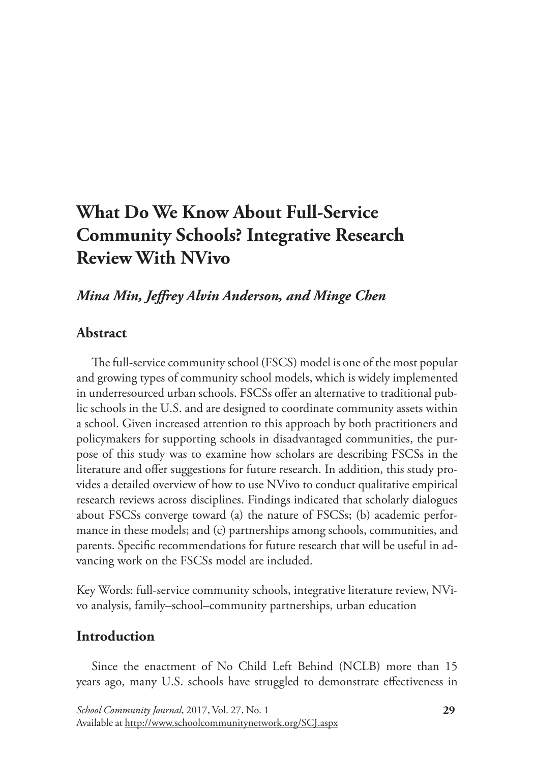# **What Do We Know About Full-Service Community Schools? Integrative Research Review With NVivo**

# *Mina Min, Jeffrey Alvin Anderson, and Minge Chen*

# **Abstract**

The full-service community school (FSCS) model is one of the most popular and growing types of community school models, which is widely implemented in underresourced urban schools. FSCSs offer an alternative to traditional public schools in the U.S. and are designed to coordinate community assets within a school. Given increased attention to this approach by both practitioners and policymakers for supporting schools in disadvantaged communities, the purpose of this study was to examine how scholars are describing FSCSs in the literature and offer suggestions for future research. In addition, this study provides a detailed overview of how to use NVivo to conduct qualitative empirical research reviews across disciplines. Findings indicated that scholarly dialogues about FSCSs converge toward (a) the nature of FSCSs; (b) academic performance in these models; and (c) partnerships among schools, communities, and parents. Specific recommendations for future research that will be useful in advancing work on the FSCSs model are included.

Key Words: full-service community schools, integrative literature review, NVivo analysis, family–school–community partnerships, urban education

# **Introduction**

Since the enactment of No Child Left Behind (NCLB) more than 15 years ago, many U.S. schools have struggled to demonstrate effectiveness in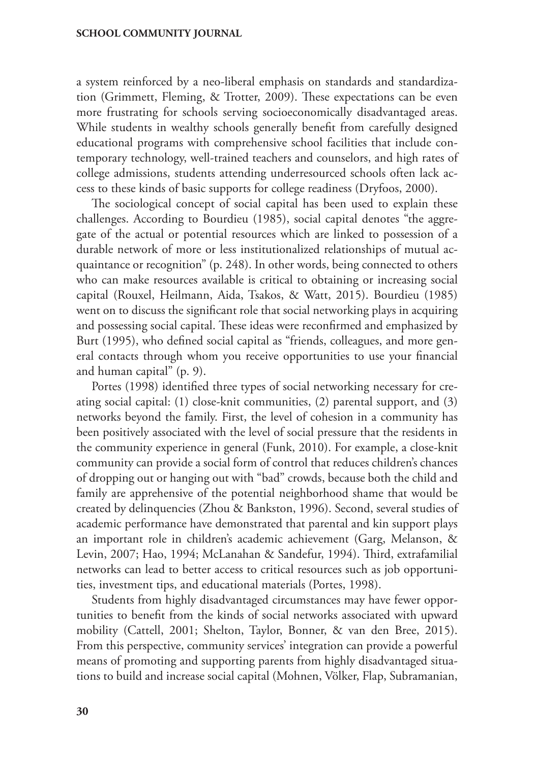a system reinforced by a neo-liberal emphasis on standards and standardization (Grimmett, Fleming, & Trotter, 2009). These expectations can be even more frustrating for schools serving socioeconomically disadvantaged areas. While students in wealthy schools generally benefit from carefully designed educational programs with comprehensive school facilities that include contemporary technology, well-trained teachers and counselors, and high rates of college admissions, students attending underresourced schools often lack access to these kinds of basic supports for college readiness (Dryfoos, 2000).

The sociological concept of social capital has been used to explain these challenges. According to Bourdieu (1985), social capital denotes "the aggregate of the actual or potential resources which are linked to possession of a durable network of more or less institutionalized relationships of mutual acquaintance or recognition" (p. 248). In other words, being connected to others who can make resources available is critical to obtaining or increasing social capital (Rouxel, Heilmann, Aida, Tsakos, & Watt, 2015). Bourdieu (1985) went on to discuss the significant role that social networking plays in acquiring and possessing social capital. These ideas were reconfirmed and emphasized by Burt (1995), who defined social capital as "friends, colleagues, and more general contacts through whom you receive opportunities to use your financial and human capital" (p. 9).

Portes (1998) identified three types of social networking necessary for creating social capital: (1) close-knit communities, (2) parental support, and (3) networks beyond the family. First, the level of cohesion in a community has been positively associated with the level of social pressure that the residents in the community experience in general (Funk, 2010). For example, a close-knit community can provide a social form of control that reduces children's chances of dropping out or hanging out with "bad" crowds, because both the child and family are apprehensive of the potential neighborhood shame that would be created by delinquencies (Zhou & Bankston, 1996). Second, several studies of academic performance have demonstrated that parental and kin support plays an important role in children's academic achievement (Garg, Melanson, & Levin, 2007; Hao, 1994; McLanahan & Sandefur, 1994). Third, extrafamilial networks can lead to better access to critical resources such as job opportunities, investment tips, and educational materials (Portes, 1998).

Students from highly disadvantaged circumstances may have fewer opportunities to benefit from the kinds of social networks associated with upward mobility (Cattell, 2001; Shelton, Taylor, Bonner, & van den Bree, 2015). From this perspective, community services' integration can provide a powerful means of promoting and supporting parents from highly disadvantaged situations to build and increase social capital (Mohnen, Völker, Flap, Subramanian,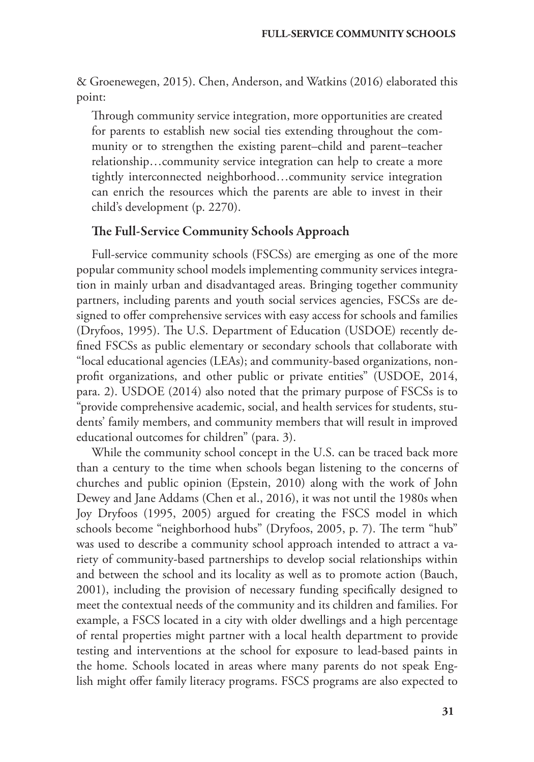& Groenewegen, 2015). Chen, Anderson, and Watkins (2016) elaborated this point:

Through community service integration, more opportunities are created for parents to establish new social ties extending throughout the community or to strengthen the existing parent–child and parent–teacher relationship…community service integration can help to create a more tightly interconnected neighborhood…community service integration can enrich the resources which the parents are able to invest in their child's development (p. 2270).

#### The Full-Service Community Schools Approach

Full-service community schools (FSCSs) are emerging as one of the more popular community school models implementing community services integration in mainly urban and disadvantaged areas. Bringing together community partners, including parents and youth social services agencies, FSCSs are designed to offer comprehensive services with easy access for schools and families (Dryfoos, 1995). The U.S. Department of Education (USDOE) recently defined FSCSs as public elementary or secondary schools that collaborate with "local educational agencies (LEAs); and community-based organizations, nonprofit organizations, and other public or private entities" (USDOE, 2014, para. 2). USDOE (2014) also noted that the primary purpose of FSCSs is to "provide comprehensive academic, social, and health services for students, students' family members, and community members that will result in improved educational outcomes for children" (para. 3).

While the community school concept in the U.S. can be traced back more than a century to the time when schools began listening to the concerns of churches and public opinion (Epstein, 2010) along with the work of John Dewey and Jane Addams (Chen et al., 2016), it was not until the 1980s when Joy Dryfoos (1995, 2005) argued for creating the FSCS model in which schools become "neighborhood hubs" (Dryfoos, 2005, p. 7). The term "hub" was used to describe a community school approach intended to attract a variety of community-based partnerships to develop social relationships within and between the school and its locality as well as to promote action (Bauch, 2001), including the provision of necessary funding specifically designed to meet the contextual needs of the community and its children and families. For example, a FSCS located in a city with older dwellings and a high percentage of rental properties might partner with a local health department to provide testing and interventions at the school for exposure to lead-based paints in the home. Schools located in areas where many parents do not speak English might offer family literacy programs. FSCS programs are also expected to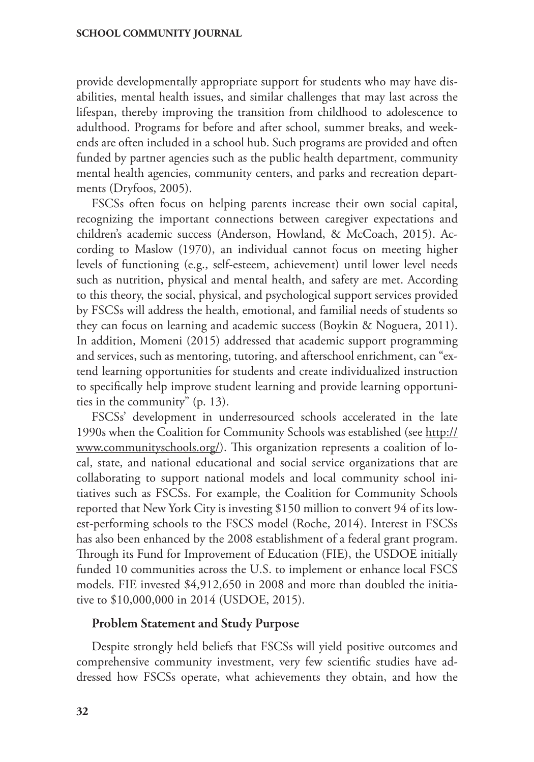provide developmentally appropriate support for students who may have disabilities, mental health issues, and similar challenges that may last across the lifespan, thereby improving the transition from childhood to adolescence to adulthood. Programs for before and after school, summer breaks, and weekends are often included in a school hub. Such programs are provided and often funded by partner agencies such as the public health department, community mental health agencies, community centers, and parks and recreation departments (Dryfoos, 2005).

FSCSs often focus on helping parents increase their own social capital, recognizing the important connections between caregiver expectations and children's academic success (Anderson, Howland, & McCoach, 2015). According to Maslow (1970), an individual cannot focus on meeting higher levels of functioning (e.g., self-esteem, achievement) until lower level needs such as nutrition, physical and mental health, and safety are met. According to this theory, the social, physical, and psychological support services provided by FSCSs will address the health, emotional, and familial needs of students so they can focus on learning and academic success (Boykin & Noguera, 2011). In addition, Momeni (2015) addressed that academic support programming and services, such as mentoring, tutoring, and afterschool enrichment, can "extend learning opportunities for students and create individualized instruction to specifically help improve student learning and provide learning opportunities in the community" (p. 13).

FSCSs' development in underresourced schools accelerated in the late 1990s when the Coalition for Community Schools was established (see [http://](http://www.communityschools.org/) [www.communityschools.org/](http://www.communityschools.org/)). This organization represents a coalition of local, state, and national educational and social service organizations that are collaborating to support national models and local community school initiatives such as FSCSs. For example, the Coalition for Community Schools reported that New York City is investing \$150 million to convert 94 of its lowest-performing schools to the FSCS model (Roche, 2014). Interest in FSCSs has also been enhanced by the 2008 establishment of a federal grant program. Through its Fund for Improvement of Education (FIE), the USDOE initially funded 10 communities across the U.S. to implement or enhance local FSCS models. FIE invested \$4,912,650 in 2008 and more than doubled the initiative to \$10,000,000 in 2014 (USDOE, 2015).

#### Problem Statement and Study Purpose

Despite strongly held beliefs that FSCSs will yield positive outcomes and comprehensive community investment, very few scientific studies have addressed how FSCSs operate, what achievements they obtain, and how the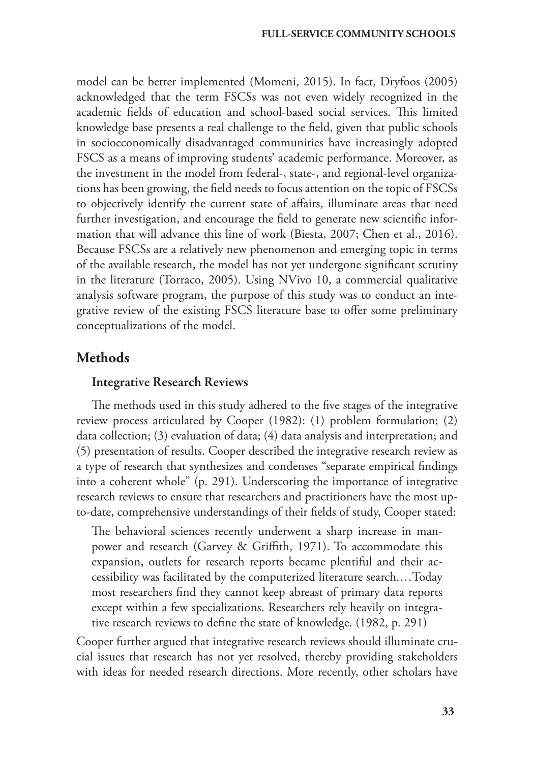model can be better implemented (Momeni, 2015). In fact, Dryfoos (2005) acknowledged that the term FSCSs was not even widely recognized in the academic fields of education and school-based social services. This limited knowledge base presents a real challenge to the field, given that public schools in socioeconomically disadvantaged communities have increasingly adopted FSCS as a means of improving students' academic performance. Moreover, as the investment in the model from federal-, state-, and regional-level organizations has been growing, the field needs to focus attention on the topic of FSCSs to objectively identify the current state of affairs, illuminate areas that need further investigation, and encourage the field to generate new scientific information that will advance this line of work (Biesta, 2007; Chen et al., 2016). Because FSCSs are a relatively new phenomenon and emerging topic in terms of the available research, the model has not yet undergone significant scrutiny in the literature (Torraco, 2005). Using NVivo 10, a commercial qualitative analysis software program, the purpose of this study was to conduct an integrative review of the existing FSCS literature base to offer some preliminary conceptualizations of the model.

# **Methods**

### Integrative Research Reviews

The methods used in this study adhered to the five stages of the integrative review process articulated by Cooper (1982): (1) problem formulation; (2) data collection; (3) evaluation of data; (4) data analysis and interpretation; and (5) presentation of results. Cooper described the integrative research review as a type of research that synthesizes and condenses "separate empirical findings into a coherent whole" (p. 291). Underscoring the importance of integrative research reviews to ensure that researchers and practitioners have the most upto-date, comprehensive understandings of their fields of study, Cooper stated:

The behavioral sciences recently underwent a sharp increase in manpower and research (Garvey & Griffith, 1971). To accommodate this expansion, outlets for research reports became plentiful and their accessibility was facilitated by the computerized literature search.…Today most researchers find they cannot keep abreast of primary data reports except within a few specializations. Researchers rely heavily on integrative research reviews to define the state of knowledge. (1982, p. 291)

Cooper further argued that integrative research reviews should illuminate crucial issues that research has not yet resolved, thereby providing stakeholders with ideas for needed research directions. More recently, other scholars have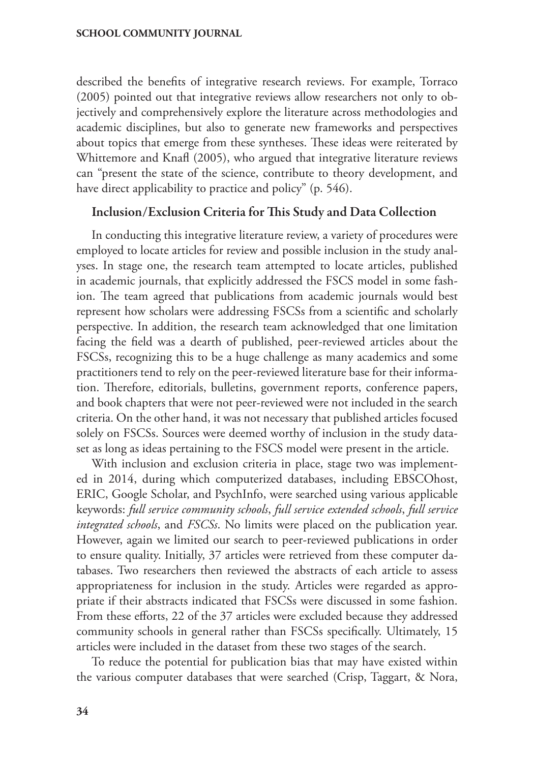described the benefits of integrative research reviews. For example, Torraco (2005) pointed out that integrative reviews allow researchers not only to objectively and comprehensively explore the literature across methodologies and academic disciplines, but also to generate new frameworks and perspectives about topics that emerge from these syntheses. These ideas were reiterated by Whittemore and Knafl (2005), who argued that integrative literature reviews can "present the state of the science, contribute to theory development, and have direct applicability to practice and policy" (p. 546).

### Inclusion/Exclusion Criteria for This Study and Data Collection

In conducting this integrative literature review, a variety of procedures were employed to locate articles for review and possible inclusion in the study analyses. In stage one, the research team attempted to locate articles, published in academic journals, that explicitly addressed the FSCS model in some fashion. The team agreed that publications from academic journals would best represent how scholars were addressing FSCSs from a scientific and scholarly perspective. In addition, the research team acknowledged that one limitation facing the field was a dearth of published, peer-reviewed articles about the FSCSs, recognizing this to be a huge challenge as many academics and some practitioners tend to rely on the peer-reviewed literature base for their information. Therefore, editorials, bulletins, government reports, conference papers, and book chapters that were not peer-reviewed were not included in the search criteria. On the other hand, it was not necessary that published articles focused solely on FSCSs. Sources were deemed worthy of inclusion in the study dataset as long as ideas pertaining to the FSCS model were present in the article.

With inclusion and exclusion criteria in place, stage two was implemented in 2014, during which computerized databases, including EBSCOhost, ERIC, Google Scholar, and PsychInfo, were searched using various applicable keywords: *full service community schools*, *full service extended schools*, *full service integrated schools*, and *FSCSs*. No limits were placed on the publication year. However, again we limited our search to peer-reviewed publications in order to ensure quality. Initially, 37 articles were retrieved from these computer databases. Two researchers then reviewed the abstracts of each article to assess appropriateness for inclusion in the study. Articles were regarded as appropriate if their abstracts indicated that FSCSs were discussed in some fashion. From these efforts, 22 of the 37 articles were excluded because they addressed community schools in general rather than FSCSs specifically. Ultimately, 15 articles were included in the dataset from these two stages of the search.

To reduce the potential for publication bias that may have existed within the various computer databases that were searched (Crisp, Taggart, & Nora,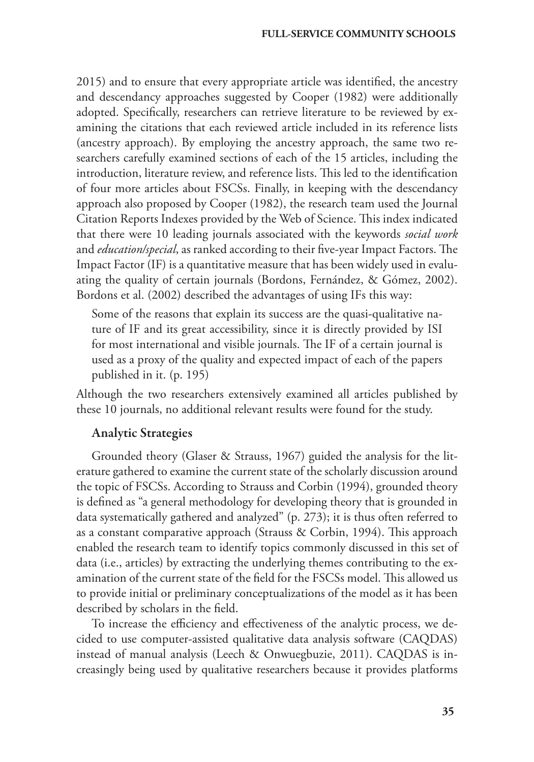2015) and to ensure that every appropriate article was identified, the ancestry and descendancy approaches suggested by Cooper (1982) were additionally adopted. Specifically, researchers can retrieve literature to be reviewed by examining the citations that each reviewed article included in its reference lists (ancestry approach). By employing the ancestry approach, the same two researchers carefully examined sections of each of the 15 articles, including the introduction, literature review, and reference lists. This led to the identification of four more articles about FSCSs. Finally, in keeping with the descendancy approach also proposed by Cooper (1982), the research team used the Journal Citation Reports Indexes provided by the Web of Science. This index indicated that there were 10 leading journals associated with the keywords *social work* and *education/special*, as ranked according to their five-year Impact Factors. The Impact Factor (IF) is a quantitative measure that has been widely used in evaluating the quality of certain journals (Bordons, Fernández, & Gómez, 2002). Bordons et al. (2002) described the advantages of using IFs this way:

Some of the reasons that explain its success are the quasi-qualitative nature of IF and its great accessibility, since it is directly provided by ISI for most international and visible journals. The IF of a certain journal is used as a proxy of the quality and expected impact of each of the papers published in it. (p. 195)

Although the two researchers extensively examined all articles published by these 10 journals, no additional relevant results were found for the study.

# Analytic Strategies

Grounded theory (Glaser & Strauss, 1967) guided the analysis for the literature gathered to examine the current state of the scholarly discussion around the topic of FSCSs. According to Strauss and Corbin (1994), grounded theory is defined as "a general methodology for developing theory that is grounded in data systematically gathered and analyzed" (p. 273); it is thus often referred to as a constant comparative approach (Strauss & Corbin, 1994). This approach enabled the research team to identify topics commonly discussed in this set of data (i.e., articles) by extracting the underlying themes contributing to the examination of the current state of the field for the FSCSs model. This allowed us to provide initial or preliminary conceptualizations of the model as it has been described by scholars in the field.

To increase the efficiency and effectiveness of the analytic process, we decided to use computer-assisted qualitative data analysis software (CAQDAS) instead of manual analysis (Leech & Onwuegbuzie, 2011). CAQDAS is increasingly being used by qualitative researchers because it provides platforms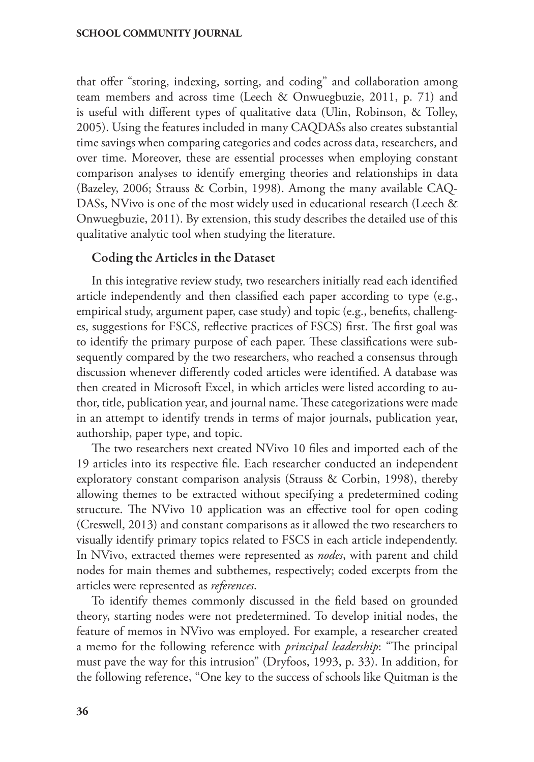that offer "storing, indexing, sorting, and coding" and collaboration among team members and across time (Leech & Onwuegbuzie, 2011, p. 71) and is useful with different types of qualitative data (Ulin, Robinson, & Tolley, 2005). Using the features included in many CAQDASs also creates substantial time savings when comparing categories and codes across data, researchers, and over time. Moreover, these are essential processes when employing constant comparison analyses to identify emerging theories and relationships in data (Bazeley, 2006; Strauss & Corbin, 1998). Among the many available CAQ-DASs, NVivo is one of the most widely used in educational research (Leech & Onwuegbuzie, 2011). By extension, this study describes the detailed use of this qualitative analytic tool when studying the literature.

### Coding the Articles in the Dataset

In this integrative review study, two researchers initially read each identified article independently and then classified each paper according to type (e.g., empirical study, argument paper, case study) and topic (e.g., benefits, challenges, suggestions for FSCS, reflective practices of FSCS) first. The first goal was to identify the primary purpose of each paper. These classifications were subsequently compared by the two researchers, who reached a consensus through discussion whenever differently coded articles were identified. A database was then created in Microsoft Excel, in which articles were listed according to author, title, publication year, and journal name. These categorizations were made in an attempt to identify trends in terms of major journals, publication year, authorship, paper type, and topic.

The two researchers next created NVivo 10 files and imported each of the 19 articles into its respective file. Each researcher conducted an independent exploratory constant comparison analysis (Strauss & Corbin, 1998), thereby allowing themes to be extracted without specifying a predetermined coding structure. The NVivo 10 application was an effective tool for open coding (Creswell, 2013) and constant comparisons as it allowed the two researchers to visually identify primary topics related to FSCS in each article independently. In NVivo, extracted themes were represented as *nodes*, with parent and child nodes for main themes and subthemes, respectively; coded excerpts from the articles were represented as *references*.

To identify themes commonly discussed in the field based on grounded theory, starting nodes were not predetermined. To develop initial nodes, the feature of memos in NVivo was employed. For example, a researcher created a memo for the following reference with *principal leadership*: "The principal must pave the way for this intrusion" (Dryfoos, 1993, p. 33). In addition, for the following reference, "One key to the success of schools like Quitman is the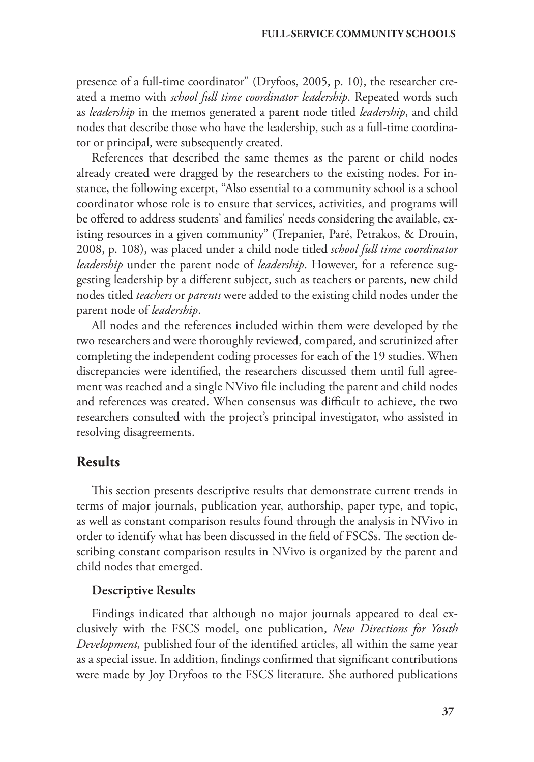presence of a full-time coordinator" (Dryfoos, 2005, p. 10), the researcher created a memo with *school full time coordinator leadership*. Repeated words such as *leadership* in the memos generated a parent node titled *leadership*, and child nodes that describe those who have the leadership, such as a full-time coordinator or principal, were subsequently created.

References that described the same themes as the parent or child nodes already created were dragged by the researchers to the existing nodes. For instance, the following excerpt, "Also essential to a community school is a school coordinator whose role is to ensure that services, activities, and programs will be offered to address students' and families' needs considering the available, existing resources in a given community" (Trepanier, Paré, Petrakos, & Drouin, 2008, p. 108), was placed under a child node titled *school full time coordinator leadership* under the parent node of *leadership*. However, for a reference suggesting leadership by a different subject, such as teachers or parents, new child nodes titled *teachers* or *parents* were added to the existing child nodes under the parent node of *leadership*.

All nodes and the references included within them were developed by the two researchers and were thoroughly reviewed, compared, and scrutinized after completing the independent coding processes for each of the 19 studies. When discrepancies were identified, the researchers discussed them until full agreement was reached and a single NVivo file including the parent and child nodes and references was created. When consensus was difficult to achieve, the two researchers consulted with the project's principal investigator, who assisted in resolving disagreements.

# **Results**

This section presents descriptive results that demonstrate current trends in terms of major journals, publication year, authorship, paper type, and topic, as well as constant comparison results found through the analysis in NVivo in order to identify what has been discussed in the field of FSCSs. The section describing constant comparison results in NVivo is organized by the parent and child nodes that emerged.

#### Descriptive Results

Findings indicated that although no major journals appeared to deal exclusively with the FSCS model, one publication, *New Directions for Youth Development,* published four of the identified articles, all within the same year as a special issue. In addition, findings confirmed that significant contributions were made by Joy Dryfoos to the FSCS literature. She authored publications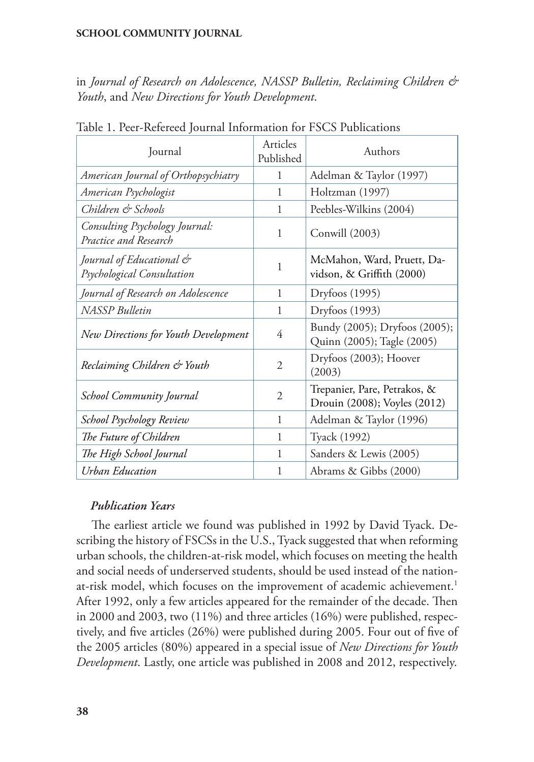in *Journal of Research on Adolescence, NASSP Bulletin, Reclaiming Children & Youth*, and *New Directions for Youth Development*.

| Journal                                                 | Articles<br>Published | Authors                                                      |
|---------------------------------------------------------|-----------------------|--------------------------------------------------------------|
| American Journal of Orthopsychiatry                     | 1                     | Adelman & Taylor (1997)                                      |
| American Psychologist                                   | 1                     | Holtzman (1997)                                              |
| Children & Schools                                      | 1                     | Peebles-Wilkins (2004)                                       |
| Consulting Psychology Journal:<br>Practice and Research | 1                     | Conwill (2003)                                               |
| Journal of Educational &<br>Psychological Consultation  | 1                     | McMahon, Ward, Pruett, Da-<br>vidson, & Griffith (2000)      |
| Journal of Research on Adolescence                      | 1                     | Dryfoos (1995)                                               |
| <b>NASSP</b> Bulletin                                   | 1                     | Dryfoos (1993)                                               |
| New Directions for Youth Development                    | 4                     | Bundy (2005); Dryfoos (2005);<br>Quinn (2005); Tagle (2005)  |
| Reclaiming Children & Youth                             | 2                     | Dryfoos (2003); Hoover<br>(2003)                             |
| <b>School Community Journal</b>                         | $\overline{2}$        | Trepanier, Pare, Petrakos, &<br>Drouin (2008); Voyles (2012) |
| School Psychology Review                                | 1                     | Adelman & Taylor (1996)                                      |
| The Future of Children                                  | 1                     | Tyack (1992)                                                 |
| The High School Journal                                 | 1                     | Sanders & Lewis (2005)                                       |
| Urban Education                                         | 1                     | Abrams & Gibbs (2000)                                        |

Table 1. Peer-Refereed Journal Information for FSCS Publications

# *Publication Years*

The earliest article we found was published in 1992 by David Tyack. Describing the history of FSCSs in the U.S., Tyack suggested that when reforming urban schools, the children-at-risk model, which focuses on meeting the health and social needs of underserved students, should be used instead of the nationat-risk model, which focuses on the improvement of academic achievement.<sup>1</sup> After 1992, only a few articles appeared for the remainder of the decade. Then in 2000 and 2003, two (11%) and three articles (16%) were published, respectively, and five articles (26%) were published during 2005. Four out of five of the 2005 articles (80%) appeared in a special issue of *New Directions for Youth Development*. Lastly, one article was published in 2008 and 2012, respectively.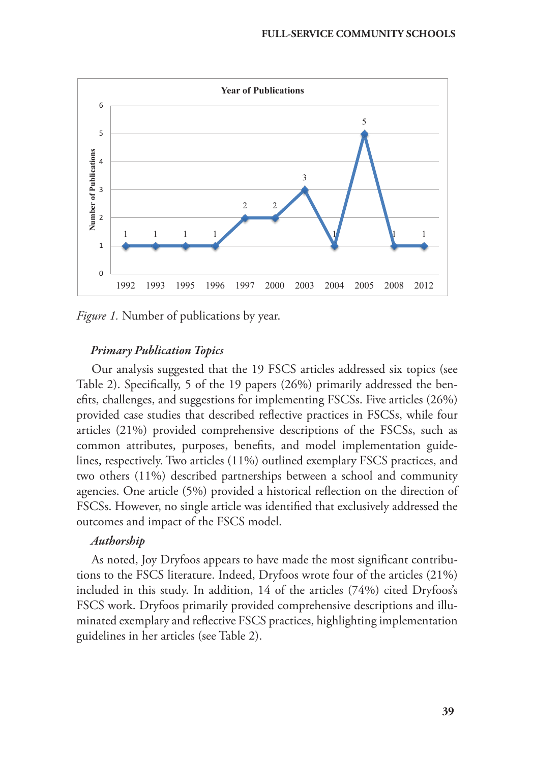

*Figure 1.* Number of publications by year.

### *Primary Publication Topics*

Our analysis suggested that the 19 FSCS articles addressed six topics (see Table 2). Specifically, 5 of the 19 papers (26%) primarily addressed the benefits, challenges, and suggestions for implementing FSCSs. Five articles (26%) provided case studies that described reflective practices in FSCSs, while four articles (21%) provided comprehensive descriptions of the FSCSs, such as common attributes, purposes, benefits, and model implementation guidelines, respectively. Two articles (11%) outlined exemplary FSCS practices, and two others (11%) described partnerships between a school and community agencies. One article (5%) provided a historical reflection on the direction of FSCSs. However, no single article was identified that exclusively addressed the outcomes and impact of the FSCS model.

#### *Authorship*

As noted, Joy Dryfoos appears to have made the most significant contributions to the FSCS literature. Indeed, Dryfoos wrote four of the articles (21%) included in this study. In addition, 14 of the articles (74%) cited Dryfoos's FSCS work. Dryfoos primarily provided comprehensive descriptions and illuminated exemplary and reflective FSCS practices, highlighting implementation guidelines in her articles (see Table 2).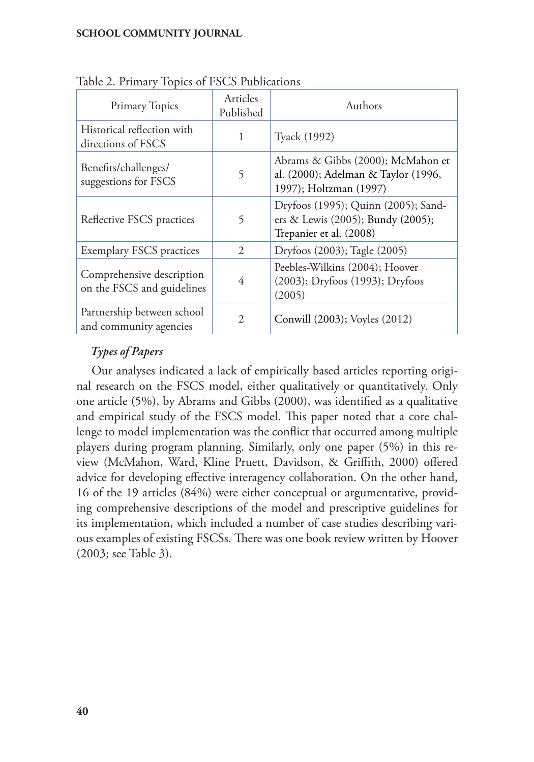| Primary Topics                                          | Articles<br>Published | Authors                                                                                             |
|---------------------------------------------------------|-----------------------|-----------------------------------------------------------------------------------------------------|
| Historical reflection with<br>directions of FSCS        | 1                     | Tyack (1992)                                                                                        |
| Benefits/challenges/<br>suggestions for FSCS            | 5                     | Abrams & Gibbs (2000); McMahon et<br>al. (2000); Adelman & Taylor (1996,<br>1997); Holtzman (1997)  |
| Reflective FSCS practices                               | 5                     | Dryfoos (1995); Quinn (2005); Sand-<br>ers & Lewis (2005); Bundy (2005);<br>Trepanier et al. (2008) |
| <b>Exemplary FSCS practices</b>                         | 2                     | Dryfoos (2003); Tagle (2005)                                                                        |
| Comprehensive description<br>on the FSCS and guidelines | 4                     | Peebles-Wilkins (2004); Hoover<br>(2003); Dryfoos (1993); Dryfoos<br>(2005)                         |
| Partnership between school<br>and community agencies    | $\mathfrak{D}$        | Conwill (2003); Voyles (2012)                                                                       |

Table 2. Primary Topics of FSCS Publications

# *Types of Papers*

Our analyses indicated a lack of empirically based articles reporting original research on the FSCS model, either qualitatively or quantitatively. Only one article (5%), by Abrams and Gibbs (2000), was identified as a qualitative and empirical study of the FSCS model. This paper noted that a core challenge to model implementation was the conflict that occurred among multiple players during program planning. Similarly, only one paper (5%) in this review (McMahon, Ward, Kline Pruett, Davidson, & Griffith, 2000) offered advice for developing effective interagency collaboration. On the other hand, 16 of the 19 articles (84%) were either conceptual or argumentative, providing comprehensive descriptions of the model and prescriptive guidelines for its implementation, which included a number of case studies describing various examples of existing FSCSs. There was one book review written by Hoover (2003; see Table 3).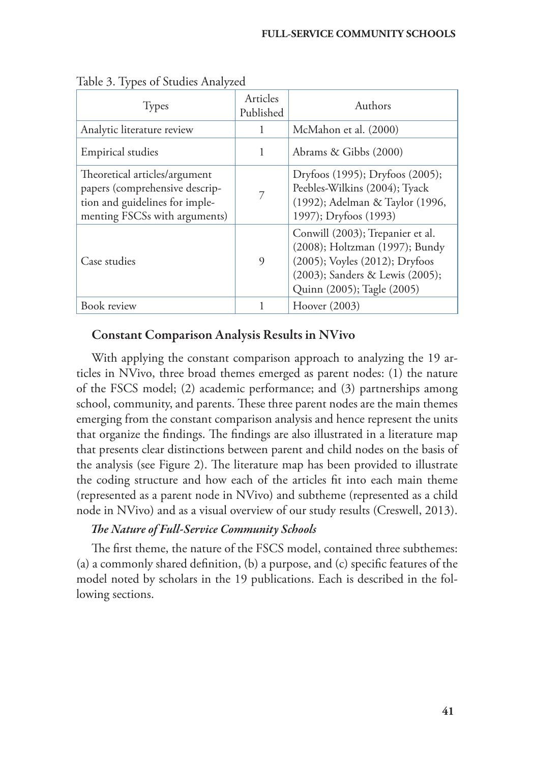| <b>Types</b>                                                                                                                       | Articles<br>Published | Authors                                                                                                                                                               |
|------------------------------------------------------------------------------------------------------------------------------------|-----------------------|-----------------------------------------------------------------------------------------------------------------------------------------------------------------------|
| Analytic literature review                                                                                                         | 1                     | McMahon et al. (2000)                                                                                                                                                 |
| <b>Empirical studies</b>                                                                                                           | 1                     | Abrams & Gibbs (2000)                                                                                                                                                 |
| Theoretical articles/argument<br>papers (comprehensive descrip-<br>tion and guidelines for imple-<br>menting FSCSs with arguments) | 7                     | Dryfoos (1995); Dryfoos (2005);<br>Peebles-Wilkins (2004); Tyack<br>(1992); Adelman & Taylor (1996,<br>1997); Dryfoos (1993)                                          |
| Case studies                                                                                                                       | 9                     | Conwill (2003); Trepanier et al.<br>(2008); Holtzman (1997); Bundy<br>(2005); Voyles (2012); Dryfoos<br>(2003); Sanders & Lewis (2005);<br>Quinn (2005); Tagle (2005) |
| Book review                                                                                                                        |                       | Hoover (2003)                                                                                                                                                         |

Table 3. Types of Studies Analyzed

# Constant Comparison Analysis Results in NVivo

With applying the constant comparison approach to analyzing the 19 articles in NVivo, three broad themes emerged as parent nodes: (1) the nature of the FSCS model; (2) academic performance; and (3) partnerships among school, community, and parents. These three parent nodes are the main themes emerging from the constant comparison analysis and hence represent the units that organize the findings. The findings are also illustrated in a literature map that presents clear distinctions between parent and child nodes on the basis of the analysis (see Figure 2). The literature map has been provided to illustrate the coding structure and how each of the articles fit into each main theme (represented as a parent node in NVivo) and subtheme (represented as a child node in NVivo) and as a visual overview of our study results (Creswell, 2013).

# *The Nature of Full-Service Community Schools*

The first theme, the nature of the FSCS model, contained three subthemes: (a) a commonly shared definition, (b) a purpose, and (c) specific features of the model noted by scholars in the 19 publications. Each is described in the following sections.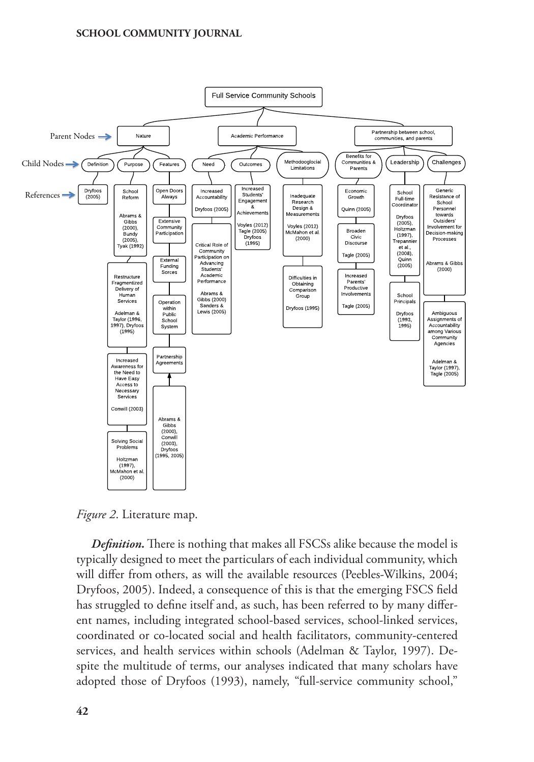

*Figure 2*. Literature map.

*Definition.* There is nothing that makes all FSCSs alike because the model is typically designed to meet the particulars of each individual community, which will differ from others, as will the available resources (Peebles-Wilkins, 2004; Dryfoos, 2005). Indeed, a consequence of this is that the emerging FSCS field has struggled to define itself and, as such, has been referred to by many different names, including integrated school-based services, school-linked services, coordinated or co-located social and health facilitators, community-centered services, and health services within schools (Adelman & Taylor, 1997). Despite the multitude of terms, our analyses indicated that many scholars have adopted those of Dryfoos (1993), namely, "full-service community school,"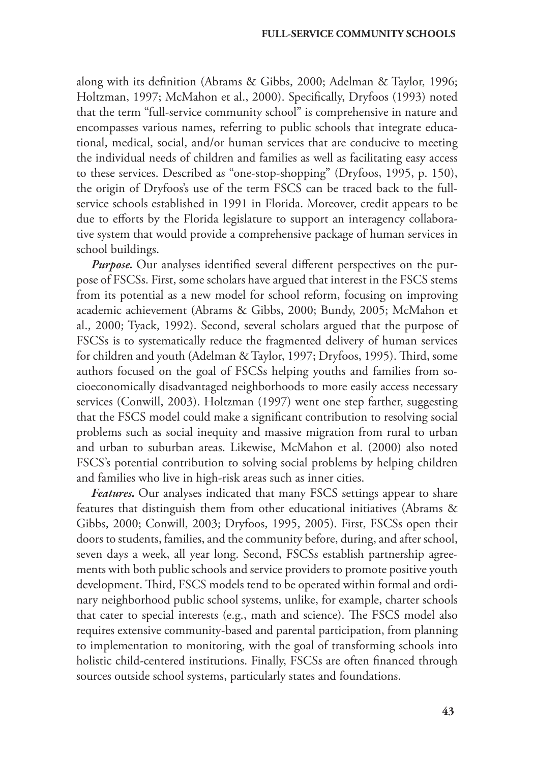along with its definition (Abrams & Gibbs, 2000; Adelman & Taylor, 1996; Holtzman, 1997; McMahon et al., 2000). Specifically, Dryfoos (1993) noted that the term "full-service community school" is comprehensive in nature and encompasses various names, referring to public schools that integrate educational, medical, social, and/or human services that are conducive to meeting the individual needs of children and families as well as facilitating easy access to these services. Described as "one-stop-shopping" (Dryfoos, 1995, p. 150), the origin of Dryfoos's use of the term FSCS can be traced back to the fullservice schools established in 1991 in Florida. Moreover, credit appears to be due to efforts by the Florida legislature to support an interagency collaborative system that would provide a comprehensive package of human services in school buildings.

*Purpose.* Our analyses identified several different perspectives on the purpose of FSCSs. First, some scholars have argued that interest in the FSCS stems from its potential as a new model for school reform, focusing on improving academic achievement (Abrams & Gibbs, 2000; Bundy, 2005; McMahon et al., 2000; Tyack, 1992). Second, several scholars argued that the purpose of FSCSs is to systematically reduce the fragmented delivery of human services for children and youth (Adelman & Taylor, 1997; Dryfoos, 1995). Third, some authors focused on the goal of FSCSs helping youths and families from socioeconomically disadvantaged neighborhoods to more easily access necessary services (Conwill, 2003). Holtzman (1997) went one step farther, suggesting that the FSCS model could make a significant contribution to resolving social problems such as social inequity and massive migration from rural to urban and urban to suburban areas. Likewise, McMahon et al. (2000) also noted FSCS's potential contribution to solving social problems by helping children and families who live in high-risk areas such as inner cities.

*Features.* Our analyses indicated that many FSCS settings appear to share features that distinguish them from other educational initiatives (Abrams & Gibbs, 2000; Conwill, 2003; Dryfoos, 1995, 2005). First, FSCSs open their doors to students, families, and the community before, during, and after school, seven days a week, all year long. Second, FSCSs establish partnership agreements with both public schools and service providers to promote positive youth development. Third, FSCS models tend to be operated within formal and ordinary neighborhood public school systems, unlike, for example, charter schools that cater to special interests (e.g., math and science). The FSCS model also requires extensive community-based and parental participation, from planning to implementation to monitoring, with the goal of transforming schools into holistic child-centered institutions. Finally, FSCSs are often financed through sources outside school systems, particularly states and foundations.

**43**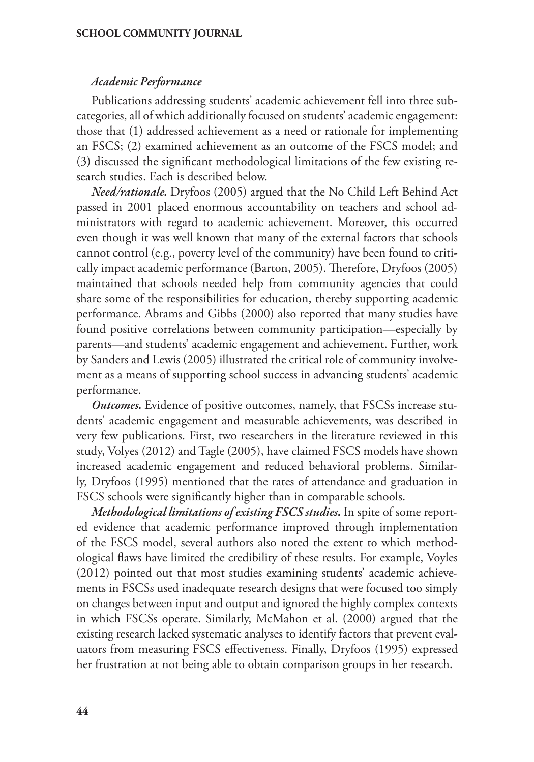#### *Academic Performance*

Publications addressing students' academic achievement fell into three subcategories, all of which additionally focused on students' academic engagement: those that (1) addressed achievement as a need or rationale for implementing an FSCS; (2) examined achievement as an outcome of the FSCS model; and (3) discussed the significant methodological limitations of the few existing research studies. Each is described below.

*Need/rationale.* Dryfoos (2005) argued that the No Child Left Behind Act passed in 2001 placed enormous accountability on teachers and school administrators with regard to academic achievement. Moreover, this occurred even though it was well known that many of the external factors that schools cannot control (e.g., poverty level of the community) have been found to critically impact academic performance (Barton, 2005). Therefore, Dryfoos (2005) maintained that schools needed help from community agencies that could share some of the responsibilities for education, thereby supporting academic performance. Abrams and Gibbs (2000) also reported that many studies have found positive correlations between community participation—especially by parents—and students' academic engagement and achievement. Further, work by Sanders and Lewis (2005) illustrated the critical role of community involvement as a means of supporting school success in advancing students' academic performance.

*Outcomes.* Evidence of positive outcomes, namely, that FSCSs increase students' academic engagement and measurable achievements, was described in very few publications. First, two researchers in the literature reviewed in this study, Volyes (2012) and Tagle (2005), have claimed FSCS models have shown increased academic engagement and reduced behavioral problems. Similarly, Dryfoos (1995) mentioned that the rates of attendance and graduation in FSCS schools were significantly higher than in comparable schools.

*Methodological limitations of existing FSCS studies.* In spite of some reported evidence that academic performance improved through implementation of the FSCS model, several authors also noted the extent to which methodological flaws have limited the credibility of these results. For example, Voyles (2012) pointed out that most studies examining students' academic achievements in FSCSs used inadequate research designs that were focused too simply on changes between input and output and ignored the highly complex contexts in which FSCSs operate. Similarly, McMahon et al. (2000) argued that the existing research lacked systematic analyses to identify factors that prevent evaluators from measuring FSCS effectiveness. Finally, Dryfoos (1995) expressed her frustration at not being able to obtain comparison groups in her research.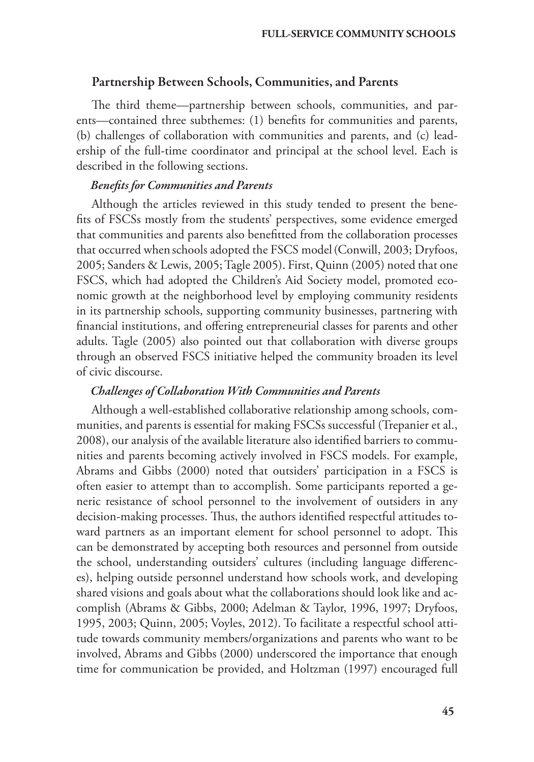#### Partnership Between Schools, Communities, and Parents

The third theme—partnership between schools, communities, and parents—contained three subthemes: (1) benefits for communities and parents, (b) challenges of collaboration with communities and parents, and (c) leadership of the full-time coordinator and principal at the school level. Each is described in the following sections.

#### *Benefits for Communities and Parents*

Although the articles reviewed in this study tended to present the benefits of FSCSs mostly from the students' perspectives, some evidence emerged that communities and parents also benefitted from the collaboration processes that occurred when schools adopted the FSCS model(Conwill, 2003; Dryfoos, 2005; Sanders & Lewis, 2005; Tagle 2005). First, Quinn (2005) noted that one FSCS, which had adopted the Children's Aid Society model, promoted economic growth at the neighborhood level by employing community residents in its partnership schools, supporting community businesses, partnering with financial institutions, and offering entrepreneurial classes for parents and other adults. Tagle (2005) also pointed out that collaboration with diverse groups through an observed FSCS initiative helped the community broaden its level of civic discourse.

#### *Challenges of Collaboration With Communities and Parents*

Although a well-established collaborative relationship among schools, communities, and parents is essential for making FSCSs successful (Trepanier et al., 2008), our analysis of the available literature also identified barriers to communities and parents becoming actively involved in FSCS models. For example, Abrams and Gibbs (2000) noted that outsiders' participation in a FSCS is often easier to attempt than to accomplish. Some participants reported a generic resistance of school personnel to the involvement of outsiders in any decision-making processes. Thus, the authors identified respectful attitudes toward partners as an important element for school personnel to adopt. This can be demonstrated by accepting both resources and personnel from outside the school, understanding outsiders' cultures (including language differences), helping outside personnel understand how schools work, and developing shared visions and goals about what the collaborations should look like and accomplish (Abrams & Gibbs, 2000; Adelman & Taylor, 1996, 1997; Dryfoos, 1995, 2003; Quinn, 2005; Voyles, 2012). To facilitate a respectful school attitude towards community members/organizations and parents who want to be involved, Abrams and Gibbs (2000) underscored the importance that enough time for communication be provided, and Holtzman (1997) encouraged full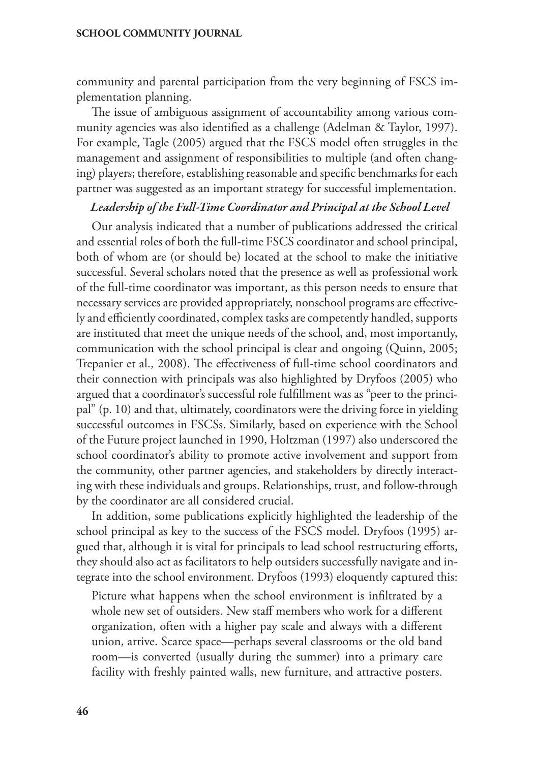community and parental participation from the very beginning of FSCS implementation planning.

The issue of ambiguous assignment of accountability among various community agencies was also identified as a challenge (Adelman & Taylor, 1997). For example, Tagle (2005) argued that the FSCS model often struggles in the management and assignment of responsibilities to multiple (and often changing) players; therefore, establishing reasonable and specific benchmarks for each partner was suggested as an important strategy for successful implementation.

#### *Leadership of the Full-Time Coordinator and Principal at the School Level*

Our analysis indicated that a number of publications addressed the critical and essential roles of both the full-time FSCS coordinator and school principal, both of whom are (or should be) located at the school to make the initiative successful. Several scholars noted that the presence as well as professional work of the full-time coordinator was important, as this person needs to ensure that necessary services are provided appropriately, nonschool programs are effectively and efficiently coordinated, complex tasks are competently handled, supports are instituted that meet the unique needs of the school, and, most importantly, communication with the school principal is clear and ongoing (Quinn, 2005; Trepanier et al., 2008). The effectiveness of full-time school coordinators and their connection with principals was also highlighted by Dryfoos (2005) who argued that a coordinator's successful role fulfillment was as "peer to the principal" (p. 10) and that, ultimately, coordinators were the driving force in yielding successful outcomes in FSCSs. Similarly, based on experience with the School of the Future project launched in 1990, Holtzman (1997) also underscored the school coordinator's ability to promote active involvement and support from the community, other partner agencies, and stakeholders by directly interacting with these individuals and groups. Relationships, trust, and follow-through by the coordinator are all considered crucial.

In addition, some publications explicitly highlighted the leadership of the school principal as key to the success of the FSCS model. Dryfoos (1995) argued that, although it is vital for principals to lead school restructuring efforts, they should also act as facilitators to help outsiders successfully navigate and integrate into the school environment. Dryfoos (1993) eloquently captured this:

Picture what happens when the school environment is infiltrated by a whole new set of outsiders. New staff members who work for a different organization, often with a higher pay scale and always with a different union, arrive. Scarce space—perhaps several classrooms or the old band room—is converted (usually during the summer) into a primary care facility with freshly painted walls, new furniture, and attractive posters.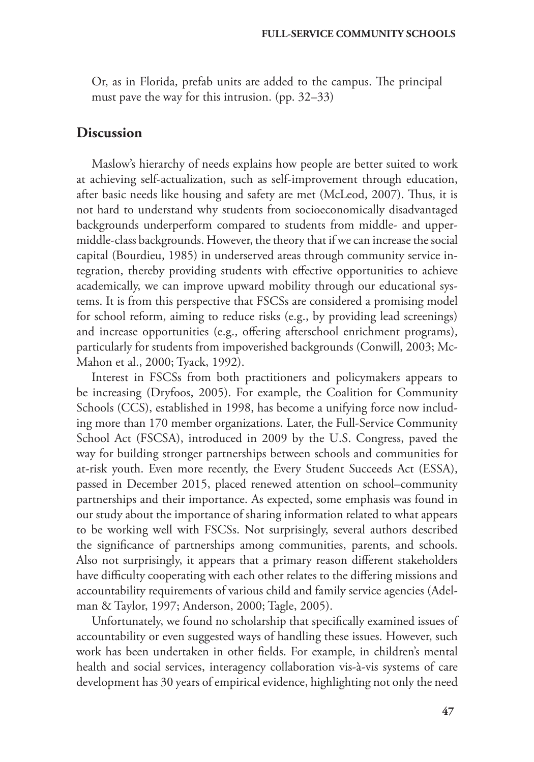Or, as in Florida, prefab units are added to the campus. The principal must pave the way for this intrusion. (pp. 32–33)

# **Discussion**

Maslow's hierarchy of needs explains how people are better suited to work at achieving self-actualization, such as self-improvement through education, after basic needs like housing and safety are met (McLeod, 2007). Thus, it is not hard to understand why students from socioeconomically disadvantaged backgrounds underperform compared to students from middle- and uppermiddle-class backgrounds. However, the theory that if we can increase the social capital (Bourdieu, 1985) in underserved areas through community service integration, thereby providing students with effective opportunities to achieve academically, we can improve upward mobility through our educational systems. It is from this perspective that FSCSs are considered a promising model for school reform, aiming to reduce risks (e.g., by providing lead screenings) and increase opportunities (e.g., offering afterschool enrichment programs), particularly for students from impoverished backgrounds (Conwill, 2003; Mc-Mahon et al., 2000; Tyack, 1992).

Interest in FSCSs from both practitioners and policymakers appears to be increasing (Dryfoos, 2005). For example, the Coalition for Community Schools (CCS), established in 1998, has become a unifying force now including more than 170 member organizations. Later, the Full-Service Community School Act (FSCSA), introduced in 2009 by the U.S. Congress, paved the way for building stronger partnerships between schools and communities for at-risk youth. Even more recently, the Every Student Succeeds Act (ESSA), passed in December 2015, placed renewed attention on school–community partnerships and their importance. As expected, some emphasis was found in our study about the importance of sharing information related to what appears to be working well with FSCSs. Not surprisingly, several authors described the significance of partnerships among communities, parents, and schools. Also not surprisingly, it appears that a primary reason different stakeholders have difficulty cooperating with each other relates to the differing missions and accountability requirements of various child and family service agencies (Adelman & Taylor, 1997; Anderson, 2000; Tagle, 2005).

Unfortunately, we found no scholarship that specifically examined issues of accountability or even suggested ways of handling these issues. However, such work has been undertaken in other fields. For example, in children's mental health and social services, interagency collaboration vis-à-vis systems of care development has 30 years of empirical evidence, highlighting not only the need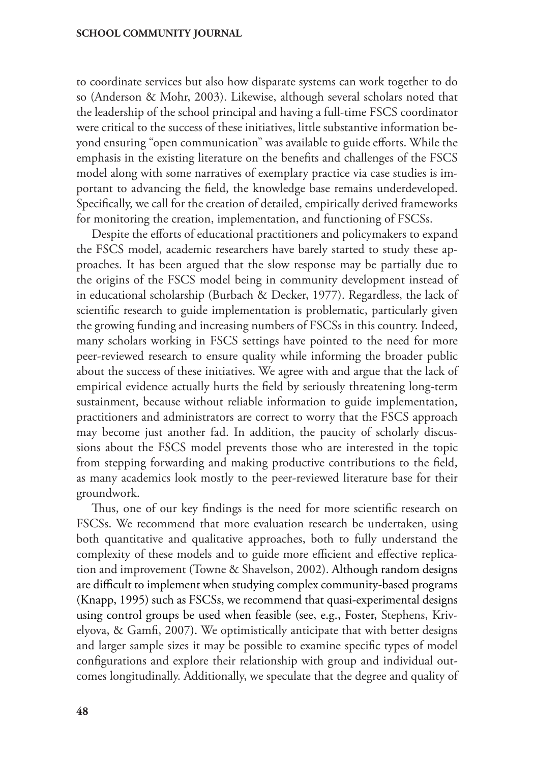to coordinate services but also how disparate systems can work together to do so (Anderson & Mohr, 2003). Likewise, although several scholars noted that the leadership of the school principal and having a full-time FSCS coordinator were critical to the success of these initiatives, little substantive information beyond ensuring "open communication" was available to guide efforts. While the emphasis in the existing literature on the benefits and challenges of the FSCS model along with some narratives of exemplary practice via case studies is important to advancing the field, the knowledge base remains underdeveloped. Specifically, we call for the creation of detailed, empirically derived frameworks for monitoring the creation, implementation, and functioning of FSCSs.

Despite the efforts of educational practitioners and policymakers to expand the FSCS model, academic researchers have barely started to study these approaches. It has been argued that the slow response may be partially due to the origins of the FSCS model being in community development instead of in educational scholarship (Burbach & Decker, 1977). Regardless, the lack of scientific research to guide implementation is problematic, particularly given the growing funding and increasing numbers of FSCSs in this country. Indeed, many scholars working in FSCS settings have pointed to the need for more peer-reviewed research to ensure quality while informing the broader public about the success of these initiatives. We agree with and argue that the lack of empirical evidence actually hurts the field by seriously threatening long-term sustainment, because without reliable information to guide implementation, practitioners and administrators are correct to worry that the FSCS approach may become just another fad. In addition, the paucity of scholarly discussions about the FSCS model prevents those who are interested in the topic from stepping forwarding and making productive contributions to the field, as many academics look mostly to the peer-reviewed literature base for their groundwork.

Thus, one of our key findings is the need for more scientific research on FSCSs. We recommend that more evaluation research be undertaken, using both quantitative and qualitative approaches, both to fully understand the complexity of these models and to guide more efficient and effective replication and improvement (Towne & Shavelson, 2002). Although random designs are difficult to implement when studying complex community-based programs (Knapp, 1995) such as FSCSs, we recommend that quasi-experimental designs using control groups be used when feasible (see, e.g., Foster, Stephens, Krivelyova, & Gamfi, 2007). We optimistically anticipate that with better designs and larger sample sizes it may be possible to examine specific types of model configurations and explore their relationship with group and individual outcomes longitudinally. Additionally, we speculate that the degree and quality of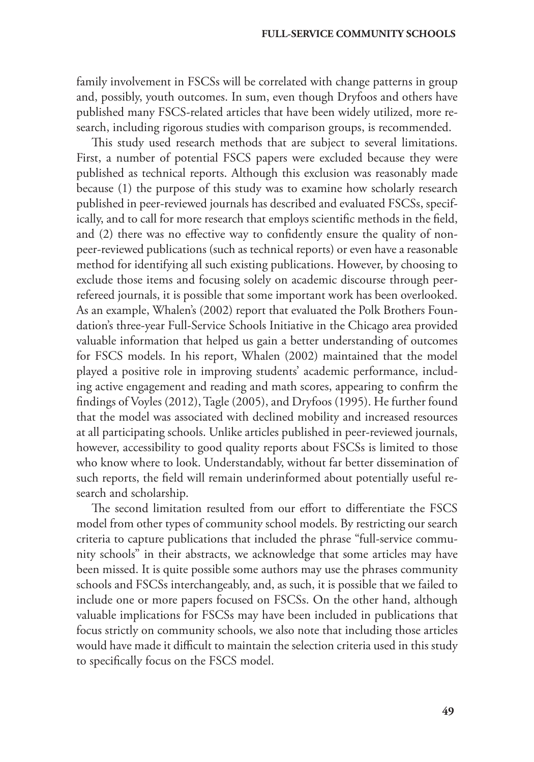family involvement in FSCSs will be correlated with change patterns in group and, possibly, youth outcomes. In sum, even though Dryfoos and others have published many FSCS-related articles that have been widely utilized, more research, including rigorous studies with comparison groups, is recommended.

This study used research methods that are subject to several limitations. First, a number of potential FSCS papers were excluded because they were published as technical reports. Although this exclusion was reasonably made because (1) the purpose of this study was to examine how scholarly research published in peer-reviewed journals has described and evaluated FSCSs, specifically, and to call for more research that employs scientific methods in the field, and (2) there was no effective way to confidently ensure the quality of nonpeer-reviewed publications (such as technical reports) or even have a reasonable method for identifying all such existing publications. However, by choosing to exclude those items and focusing solely on academic discourse through peerrefereed journals, it is possible that some important work has been overlooked. As an example, Whalen's (2002) report that evaluated the Polk Brothers Foundation's three-year Full-Service Schools Initiative in the Chicago area provided valuable information that helped us gain a better understanding of outcomes for FSCS models. In his report, Whalen (2002) maintained that the model played a positive role in improving students' academic performance, including active engagement and reading and math scores, appearing to confirm the findings of Voyles (2012), Tagle (2005), and Dryfoos (1995). He further found that the model was associated with declined mobility and increased resources at all participating schools. Unlike articles published in peer-reviewed journals, however, accessibility to good quality reports about FSCSs is limited to those who know where to look. Understandably, without far better dissemination of such reports, the field will remain underinformed about potentially useful research and scholarship.

The second limitation resulted from our effort to differentiate the FSCS model from other types of community school models. By restricting our search criteria to capture publications that included the phrase "full-service community schools" in their abstracts, we acknowledge that some articles may have been missed. It is quite possible some authors may use the phrases community schools and FSCSs interchangeably, and, as such, it is possible that we failed to include one or more papers focused on FSCSs. On the other hand, although valuable implications for FSCSs may have been included in publications that focus strictly on community schools, we also note that including those articles would have made it difficult to maintain the selection criteria used in this study to specifically focus on the FSCS model.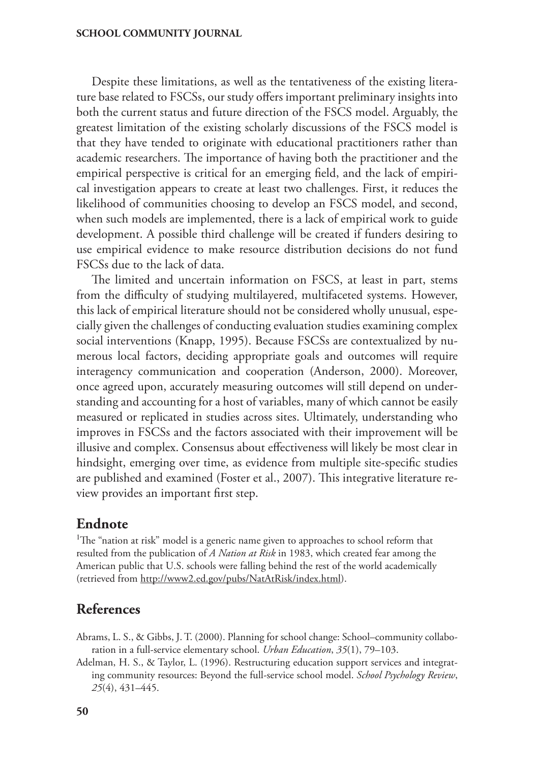Despite these limitations, as well as the tentativeness of the existing literature base related to FSCSs, our study offers important preliminary insights into both the current status and future direction of the FSCS model. Arguably, the greatest limitation of the existing scholarly discussions of the FSCS model is that they have tended to originate with educational practitioners rather than academic researchers. The importance of having both the practitioner and the empirical perspective is critical for an emerging field, and the lack of empirical investigation appears to create at least two challenges. First, it reduces the likelihood of communities choosing to develop an FSCS model, and second, when such models are implemented, there is a lack of empirical work to guide development. A possible third challenge will be created if funders desiring to use empirical evidence to make resource distribution decisions do not fund FSCSs due to the lack of data.

The limited and uncertain information on FSCS, at least in part, stems from the difficulty of studying multilayered, multifaceted systems. However, this lack of empirical literature should not be considered wholly unusual, especially given the challenges of conducting evaluation studies examining complex social interventions (Knapp, 1995). Because FSCSs are contextualized by numerous local factors, deciding appropriate goals and outcomes will require interagency communication and cooperation (Anderson, 2000). Moreover, once agreed upon, accurately measuring outcomes will still depend on understanding and accounting for a host of variables, many of which cannot be easily measured or replicated in studies across sites. Ultimately, understanding who improves in FSCSs and the factors associated with their improvement will be illusive and complex. Consensus about effectiveness will likely be most clear in hindsight, emerging over time, as evidence from multiple site-specific studies are published and examined (Foster et al., 2007). This integrative literature review provides an important first step.

# **Endnote**

<sup>1</sup>The "nation at risk" model is a generic name given to approaches to school reform that resulted from the publication of *A Nation at Risk* in 1983, which created fear among the American public that U.S. schools were falling behind the rest of the world academically (retrieved from [http://www2.ed.gov/pubs/NatAtRisk/index.html\)](http://www2.ed.gov/pubs/NatAtRisk/index.html).

# **References**

Abrams, L. S., & Gibbs, J. T. (2000). Planning for school change: School–community collaboration in a full-service elementary school. *Urban Education*, *35*(1), 79–103.

Adelman, H. S., & Taylor, L. (1996). Restructuring education support services and integrating community resources: Beyond the full-service school model. *School Psychology Review*, *25*(4), 431–445.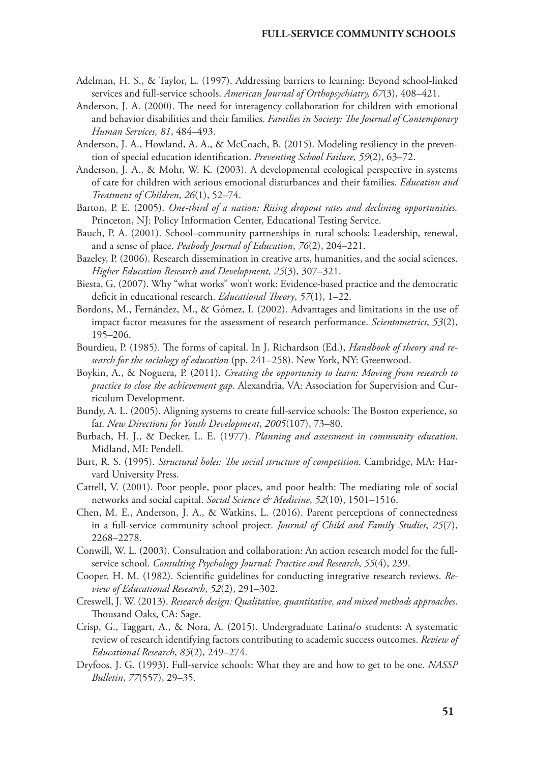- Adelman, H. S., & Taylor, L. (1997). Addressing barriers to learning: Beyond school-linked services and full-service schools. *American Journal of Orthopsychiatry, 67*(3), 408–421.
- Anderson, J. A. (2000). The need for interagency collaboration for children with emotional and behavior disabilities and their families. *Families in Society: The Journal of Contemporary Human Services, 81*, 484–493.
- Anderson, J. A., Howland, A. A., & McCoach, B. (2015). Modeling resiliency in the prevention of special education identification. *Preventing School Failure, 59*(2), 63–72.
- Anderson, J. A., & Mohr, W. K. (2003). A developmental ecological perspective in systems of care for children with serious emotional disturbances and their families. *Education and Treatment of Children*, *26*(1), 52–74.
- Barton, P. E. (2005). *One-third of a nation: Rising dropout rates and declining opportunities.* Princeton, NJ: Policy Information Center, Educational Testing Service.
- Bauch, P. A. (2001). School–community partnerships in rural schools: Leadership, renewal, and a sense of place. *Peabody Journal of Education*, *76*(2), 204–221.
- Bazeley, P. (2006). Research dissemination in creative arts, humanities, and the social sciences. *Higher Education Research and Development, 25*(3), 307–321.
- Biesta, G. (2007). Why "what works" won't work: Evidence‐based practice and the democratic deficit in educational research. *Educational Theory*, *57*(1), 1–22.
- Bordons, M., Fernández, M., & Gómez, I. (2002). Advantages and limitations in the use of impact factor measures for the assessment of research performance. *Scientometrics*, *53*(2), 195–206.
- Bourdieu, P. (1985). The forms of capital. In J. Richardson (Ed.), *Handbook of theory and research for the sociology of education* (pp. 241–258). New York, NY: Greenwood.
- Boykin, A., & Noguera, P. (2011). *Creating the opportunity to learn: Moving from research to practice to close the achievement gap*. Alexandria, VA: Association for Supervision and Curriculum Development.
- Bundy, A. L. (2005). Aligning systems to create full‐service schools: The Boston experience, so far. *New Directions for Youth Development*, *2005*(107), 73–80.
- Burbach, H. J., & Decker, L. E. (1977). *Planning and assessment in community education*. Midland, MI: Pendell.
- Burt, R. S. (1995). *Structural holes: The social structure of competition*. Cambridge, MA: Harvard University Press.
- Cattell, V. (2001). Poor people, poor places, and poor health: The mediating role of social networks and social capital. *Social Science & Medicine*, *52*(10), 1501–1516.
- Chen, M. E., Anderson, J. A., & Watkins, L. (2016). Parent perceptions of connectedness in a full-service community school project. *Journal of Child and Family Studies*, *25*(7), 2268–2278.
- Conwill, W. L. (2003). Consultation and collaboration: An action research model for the fullservice school. *Consulting Psychology Journal: Practice and Research*, *55*(4), 239.
- Cooper, H. M. (1982). Scientific guidelines for conducting integrative research reviews. *Review of Educational Research*, *52*(2), 291–302.
- Creswell, J. W. (2013). *Research design: Qualitative, quantitative, and mixed methods approaches*. Thousand Oaks, CA: Sage.
- Crisp, G., Taggart, A., & Nora, A. (2015). Undergraduate Latina/o students: A systematic review of research identifying factors contributing to academic success outcomes. *Review of Educational Research*, *85*(2), 249–274.
- Dryfoos, J. G. (1993). Full-service schools: What they are and how to get to be one. *NASSP Bulletin*, *77*(557), 29–35.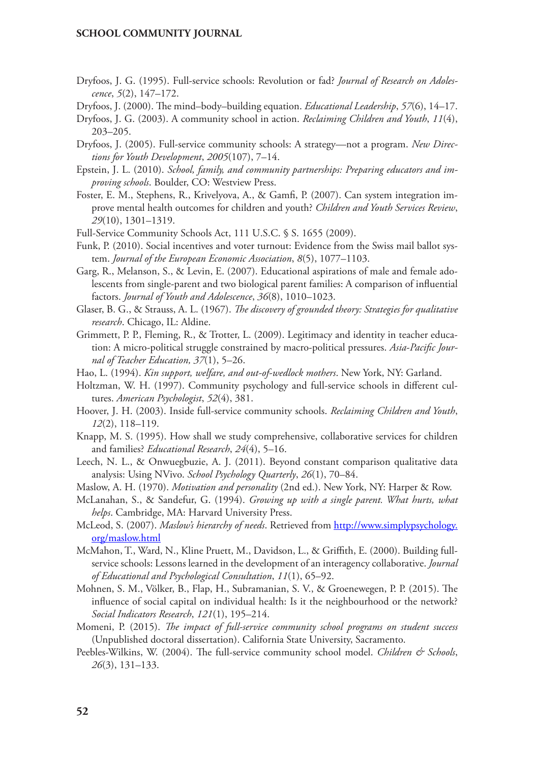- Dryfoos, J. G. (1995). Full-service schools: Revolution or fad? *Journal of Research on Adolescence*, *5*(2), 147–172.
- Dryfoos, J. (2000). The mind–body–building equation. *Educational Leadership*, *57*(6), 14–17.
- Dryfoos, J. G. (2003). A community school in action. *Reclaiming Children and Youth*, *11*(4), 203–205.
- Dryfoos, J. (2005). Full‐service community schools: A strategy—not a program. *New Directions for Youth Development*, *2005*(107), 7–14.
- Epstein, J. L. (2010). *School, family, and community partnerships: Preparing educators and improving schools*. Boulder, CO: Westview Press.
- Foster, E. M., Stephens, R., Krivelyova, A., & Gamfi, P. (2007). Can system integration improve mental health outcomes for children and youth? *Children and Youth Services Review*, *29*(10), 1301–1319.
- Full-Service Community Schools Act, 111 U.S.C. § S. 1655 (2009).
- Funk, P. (2010). Social incentives and voter turnout: Evidence from the Swiss mail ballot system. *Journal of the European Economic Association*, *8*(5), 1077–1103.
- Garg, R., Melanson, S., & Levin, E. (2007). Educational aspirations of male and female adolescents from single-parent and two biological parent families: A comparison of influential factors. *Journal of Youth and Adolescence*, *36*(8), 1010–1023.
- Glaser, B. G., & Strauss, A. L. (1967). *The discovery of grounded theory: Strategies for qualitative research*. Chicago, IL: Aldine.
- Grimmett, P. P., Fleming, R., & Trotter, L. (2009). Legitimacy and identity in teacher education: A micro‐political struggle constrained by macro‐political pressures. *Asia*‐*Pacific Journal of Teacher Education, 37*(1), 5–26.
- Hao, L. (1994). *Kin support, welfare, and out-of-wedlock mothers*. New York, NY: Garland.
- Holtzman, W. H. (1997). Community psychology and full-service schools in different cultures. *American Psychologist*, *52*(4), 381.
- Hoover, J. H. (2003). Inside full-service community schools. *Reclaiming Children and Youth*, *12*(2), 118–119.
- Knapp, M. S. (1995). How shall we study comprehensive, collaborative services for children and families? *Educational Research*, *24*(4), 5–16.
- Leech, N. L., & Onwuegbuzie, A. J. (2011). Beyond constant comparison qualitative data analysis: Using NVivo. *School Psychology Quarterly*, *26*(1), 70–84.
- Maslow, A. H. (1970). *Motivation and personality* (2nd ed.). New York, NY: Harper & Row.
- McLanahan, S., & Sandefur, G. (1994). *Growing up with a single parent. What hurts, what helps*. Cambridge, MA: Harvard University Press.
- McLeod, S. (2007). *Maslow's hierarchy of needs*. Retrieved from [http://www.simplypsychology.](http://www.simplypsychology.org/maslow.html) [org/maslow.html](http://www.simplypsychology.org/maslow.html)
- McMahon, T., Ward, N., Kline Pruett, M., Davidson, L., & Griffith, E. (2000). Building fullservice schools: Lessons learned in the development of an interagency collaborative. *Journal of Educational and Psychological Consultation*, *11*(1), 65–92.
- Mohnen, S. M., Völker, B., Flap, H., Subramanian, S. V., & Groenewegen, P. P. (2015). The influence of social capital on individual health: Is it the neighbourhood or the network? *Social Indicators Research*, *121*(1), 195–214.
- Momeni, P. (2015). *The impact of full-service community school programs on student success* (Unpublished doctoral dissertation). California State University, Sacramento.
- Peebles-Wilkins, W. (2004). The full-service community school model. *Children & Schools*, *26*(3), 131–133.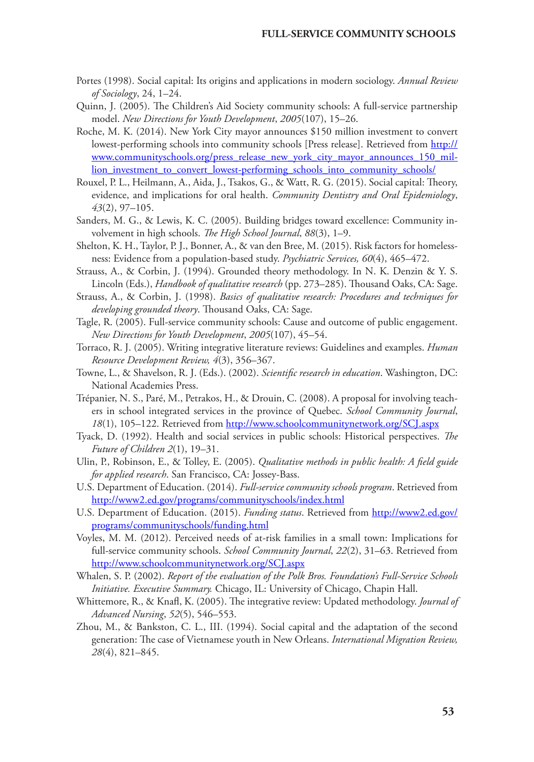- Portes (1998). Social capital: Its origins and applications in modern sociology. *Annual Review of Sociology*, 24, 1–24.
- Quinn, J. (2005). The Children's Aid Society community schools: A full‐service partnership model. *New Directions for Youth Development*, *2005*(107), 15–26.
- Roche, M. K. (2014). New York City mayor announces \$150 million investment to convert lowest-performing schools into community schools [Press release]. Retrieved from [http://](http://www.communityschools.org/press_release_new_york_city_mayor_announces_150_million_investment_to_convert_lowest-performing_schools_into_community_schools/) [www.communityschools.org/press\\_release\\_new\\_york\\_city\\_mayor\\_announces\\_150\\_mil](http://www.communityschools.org/press_release_new_york_city_mayor_announces_150_million_investment_to_convert_lowest-performing_schools_into_community_schools/)[lion\\_investment\\_to\\_convert\\_lowest-performing\\_schools\\_into\\_community\\_schools/](http://www.communityschools.org/press_release_new_york_city_mayor_announces_150_million_investment_to_convert_lowest-performing_schools_into_community_schools/)
- Rouxel, P. L., Heilmann, A., Aida, J., Tsakos, G., & Watt, R. G. (2015). Social capital: Theory, evidence, and implications for oral health. *Community Dentistry and Oral Epidemiology*, *43*(2), 97–105.
- Sanders, M. G., & Lewis, K. C. (2005). Building bridges toward excellence: Community involvement in high schools. *The High School Journal*, *88*(3), 1–9.
- Shelton, K. H., Taylor, P. J., Bonner, A., & van den Bree, M. (2015). Risk factors for homelessness: Evidence from a population-based study. *Psychiatric Services, 60*(4), 465–472.
- Strauss, A., & Corbin, J. (1994). Grounded theory methodology. In N. K. Denzin & Y. S. Lincoln (Eds.), *Handbook of qualitative research* (pp. 273–285). Thousand Oaks, CA: Sage.
- Strauss, A., & Corbin, J. (1998). *Basics of qualitative research: Procedures and techniques for developing grounded theory*. Thousand Oaks, CA: Sage.
- Tagle, R. (2005). Full‐service community schools: Cause and outcome of public engagement. *New Directions for Youth Development*, *2005*(107), 45–54.
- Torraco, R. J. (2005). Writing integrative literature reviews: Guidelines and examples. *Human Resource Development Review, 4*(3), 356–367.
- Towne, L., & Shavelson, R. J. (Eds.). (2002). *Scientific research in education*. Washington, DC: National Academies Press.
- Trépanier, N. S., Paré, M., Petrakos, H., & Drouin, C. (2008). A proposal for involving teachers in school integrated services in the province of Quebec. *School Community Journal*, *18*(1), 105–122. Retrieved from<http://www.schoolcommunitynetwork.org/SCJ.aspx>
- Tyack, D. (1992). Health and social services in public schools: Historical perspectives. *The Future of Children 2*(1), 19–31.
- Ulin, P., Robinson, E., & Tolley, E. (2005). *Qualitative methods in public health: A field guide for applied research*. San Francisco, CA: Jossey-Bass.
- U.S. Department of Education. (2014). *Full-service community schools program*. Retrieved from <http://www2.ed.gov/programs/communityschools/index.html>
- U.S. Department of Education. (2015). *Funding status*. Retrieved from [http://www2.ed.gov/](http://www2.ed.gov/programs/communityschools/funding.html) [programs/communityschools/funding.html](http://www2.ed.gov/programs/communityschools/funding.html)
- Voyles, M. M. (2012). Perceived needs of at-risk families in a small town: Implications for full-service community schools. *School Community Journal*, *22*(2), 31–63. Retrieved from <http://www.schoolcommunitynetwork.org/SCJ.aspx>
- Whalen, S. P. (2002). *Report of the evaluation of the Polk Bros. Foundation's Full-Service Schools Initiative. Executive Summary.* Chicago, IL: University of Chicago, Chapin Hall.
- Whittemore, R., & Knafl, K. (2005). The integrative review: Updated methodology. *Journal of Advanced Nursing*, *52*(5), 546–553.
- Zhou, M., & Bankston, C. L., III. (1994). Social capital and the adaptation of the second generation: The case of Vietnamese youth in New Orleans. *International Migration Review, 28*(4), 821–845.